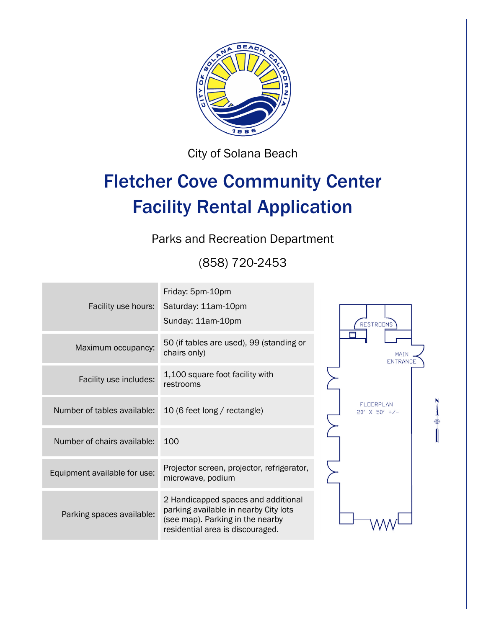

City of Solana Beach

# Fletcher Cove Community Center Facility Rental Application

Parks and Recreation Department

(858) 720-2453

| Facility use hours:          | Friday: 5pm-10pm<br>Saturday: 11am-10pm<br>Sunday: 11am-10pm                                                                                         |                                      |
|------------------------------|------------------------------------------------------------------------------------------------------------------------------------------------------|--------------------------------------|
| Maximum occupancy:           | 50 (if tables are used), 99 (standing or<br>chairs only)                                                                                             | RESTROOMS<br>MAIN<br><b>ENTRANCE</b> |
| Facility use includes:       | 1,100 square foot facility with<br>restrooms                                                                                                         |                                      |
| Number of tables available:  | 10 (6 feet long / rectangle)                                                                                                                         | FI FIRPI AN<br>$20'$ X 50' +/-       |
| Number of chairs available:  | 100                                                                                                                                                  |                                      |
| Equipment available for use: | Projector screen, projector, refrigerator,<br>microwave, podium                                                                                      |                                      |
| Parking spaces available:    | 2 Handicapped spaces and additional<br>parking available in nearby City lots<br>(see map). Parking in the nearby<br>residential area is discouraged. |                                      |
|                              |                                                                                                                                                      |                                      |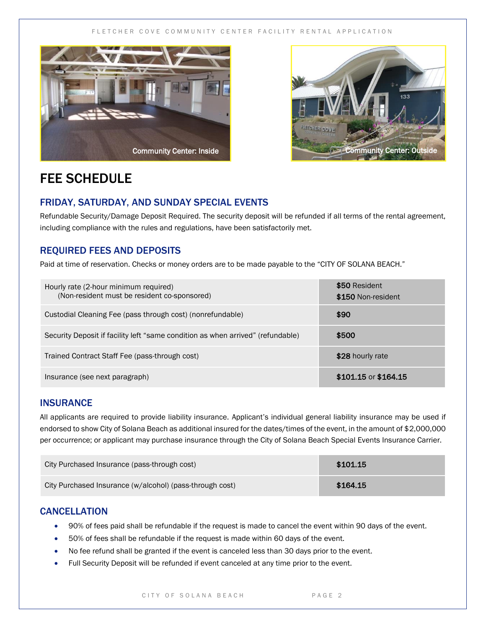#### FLETCHER COVE COMMUNITY CENTER FACILITY RENTAL APPLICATION





### FEE SCHEDULE

#### FRIDAY, SATURDAY, AND SUNDAY SPECIAL EVENTS

Refundable Security/Damage Deposit Required. The security deposit will be refunded if all terms of the rental agreement, including compliance with the rules and regulations, have been satisfactorily met.

#### REQUIRED FEES AND DEPOSITS

Paid at time of reservation. Checks or money orders are to be made payable to the "CITY OF SOLANA BEACH."

| Hourly rate (2-hour minimum required)<br>(Non-resident must be resident co-sponsored) | \$50 Resident<br>\$150 Non-resident |
|---------------------------------------------------------------------------------------|-------------------------------------|
| Custodial Cleaning Fee (pass through cost) (nonrefundable)                            | \$90                                |
| Security Deposit if facility left "same condition as when arrived" (refundable)       | \$500                               |
| Trained Contract Staff Fee (pass-through cost)                                        | \$28 hourly rate                    |
| Insurance (see next paragraph)                                                        | \$101.15 or \$164.15                |

#### **INSURANCE**

All applicants are required to provide liability insurance. Applicant's individual general liability insurance may be used if endorsed to show City of Solana Beach as additional insured for the dates/times of the event, in the amount of \$2,000,000 per occurrence; or applicant may purchase insurance through the City of Solana Beach Special Events Insurance Carrier.

| City Purchased Insurance (pass-through cost)             | \$101.15 |
|----------------------------------------------------------|----------|
| City Purchased Insurance (w/alcohol) (pass-through cost) | \$164.15 |

#### **CANCELLATION**

- 90% of fees paid shall be refundable if the request is made to cancel the event within 90 days of the event.
- 50% of fees shall be refundable if the request is made within 60 days of the event.
- No fee refund shall be granted if the event is canceled less than 30 days prior to the event.
- Full Security Deposit will be refunded if event canceled at any time prior to the event.

#### CITY OF SOLANA BEACH PAGE 2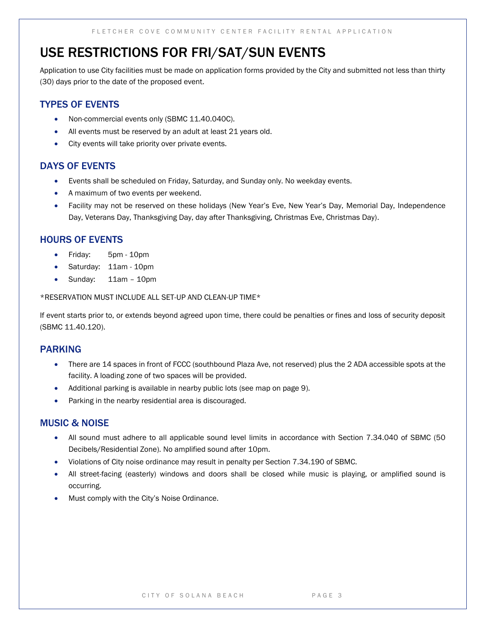### USE RESTRICTIONS FOR FRI/SAT/SUN EVENTS

Application to use City facilities must be made on application forms provided by the City and submitted not less than thirty (30) days prior to the date of the proposed event.

#### TYPES OF EVENTS

- Non-commercial events only (SBMC 11.40.040C).
- All events must be reserved by an adult at least 21 years old.
- City events will take priority over private events.

#### DAYS OF EVENTS

- Events shall be scheduled on Friday, Saturday, and Sunday only. No weekday events.
- A maximum of two events per weekend.
- Facility may not be reserved on these holidays (New Year's Eve, New Year's Day, Memorial Day, Independence Day, Veterans Day, Thanksgiving Day, day after Thanksgiving, Christmas Eve, Christmas Day).

#### HOURS OF EVENTS

- Friday: 5pm 10pm
- Saturday: 11am 10pm
- Sunday: 11am 10pm

#### \*RESERVATION MUST INCLUDE ALL SET-UP AND CLEAN-UP TIME\*

If event starts prior to, or extends beyond agreed upon time, there could be penalties or fines and loss of security deposit (SBMC 11.40.120).

#### PARKING

- There are 14 spaces in front of FCCC (southbound Plaza Ave, not reserved) plus the 2 ADA accessible spots at the facility. A loading zone of two spaces will be provided.
- Additional parking is available in nearby public lots (see map on page 9).
- Parking in the nearby residential area is discouraged.

#### MUSIC & NOISE

- All sound must adhere to all applicable sound level limits in accordance with Section 7.34.040 of SBMC (50 Decibels/Residential Zone). No amplified sound after 10pm.
- Violations of City noise ordinance may result in penalty per Section 7.34.190 of SBMC.
- All street-facing (easterly) windows and doors shall be closed while music is playing, or amplified sound is occurring.
- Must comply with the City's Noise Ordinance.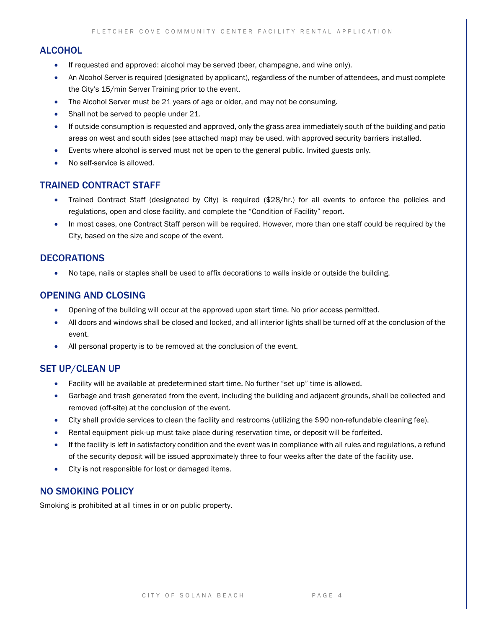#### **ALCOHOL**

- If requested and approved: alcohol may be served (beer, champagne, and wine only).
- An Alcohol Server is required (designated by applicant), regardless of the number of attendees, and must complete the City's 15/min Server Training prior to the event.
- The Alcohol Server must be 21 years of age or older, and may not be consuming.
- Shall not be served to people under 21.
- If outside consumption is requested and approved, only the grass area immediately south of the building and patio areas on west and south sides (see attached map) may be used, with approved security barriers installed.
- Events where alcohol is served must not be open to the general public. Invited guests only.
- No self-service is allowed.

#### TRAINED CONTRACT STAFF

- Trained Contract Staff (designated by City) is required (\$28/hr.) for all events to enforce the policies and regulations, open and close facility, and complete the "Condition of Facility" report.
- In most cases, one Contract Staff person will be required. However, more than one staff could be required by the City, based on the size and scope of the event.

#### **DECORATIONS**

No tape, nails or staples shall be used to affix decorations to walls inside or outside the building.

#### OPENING AND CLOSING

- Opening of the building will occur at the approved upon start time. No prior access permitted.
- All doors and windows shall be closed and locked, and all interior lights shall be turned off at the conclusion of the event.
- All personal property is to be removed at the conclusion of the event.

#### SET UP/CLEAN UP

- Facility will be available at predetermined start time. No further "set up" time is allowed.
- Garbage and trash generated from the event, including the building and adjacent grounds, shall be collected and removed (off-site) at the conclusion of the event.
- City shall provide services to clean the facility and restrooms (utilizing the \$90 non-refundable cleaning fee).
- Rental equipment pick-up must take place during reservation time, or deposit will be forfeited.
- If the facility is left in satisfactory condition and the event was in compliance with all rules and regulations, a refund of the security deposit will be issued approximately three to four weeks after the date of the facility use.
- City is not responsible for lost or damaged items.

#### NO SMOKING POLICY

Smoking is prohibited at all times in or on public property.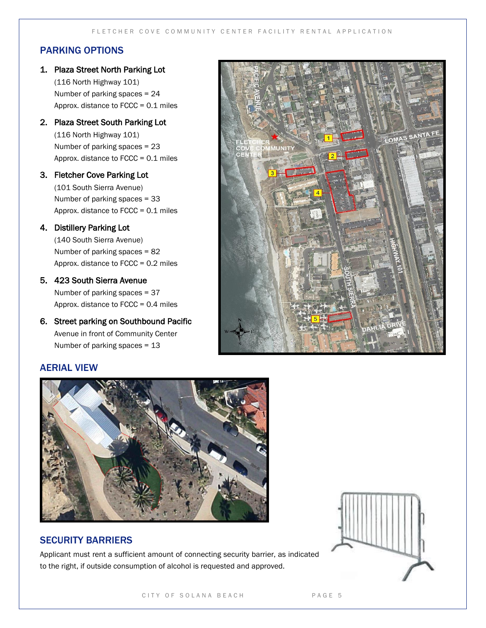#### PARKING OPTIONS

1. Plaza Street North Parking Lot

(116 North Highway 101) Number of parking spaces = 24 Approx. distance to FCCC = 0.1 miles

2. Plaza Street South Parking Lot

(116 North Highway 101) Number of parking spaces = 23 Approx. distance to FCCC = 0.1 miles

#### 3. Fletcher Cove Parking Lot

(101 South Sierra Avenue) Number of parking spaces = 33 Approx. distance to FCCC = 0.1 miles

#### 4. Distillery Parking Lot

(140 South Sierra Avenue) Number of parking spaces = 82 Approx. distance to FCCC = 0.2 miles

#### 5. 423 South Sierra Avenue

Number of parking spaces = 37 Approx. distance to FCCC = 0.4 miles

6. Street parking on Southbound Pacific Avenue in front of Community Center Number of parking spaces = 13

#### AERIAL VIEW



#### SECURITY BARRIERS

Applicant must rent a sufficient amount of connecting security barrier, as indicated to the right, if outside consumption of alcohol is requested and approved.



LOMAS SANTA FE



#### CITY OF SOLANA BEACH PAGE 5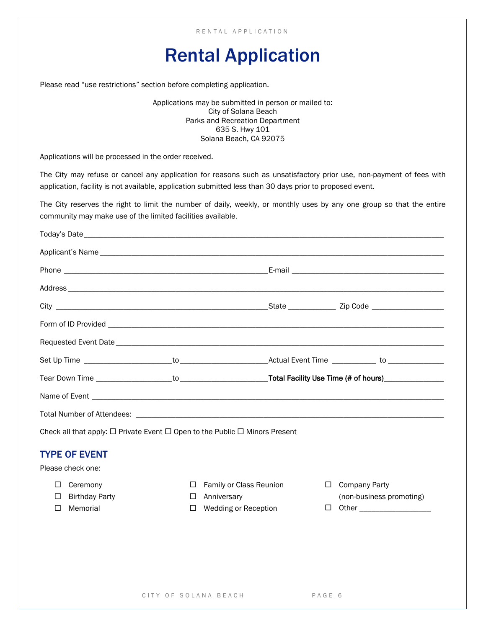## Rental Application

Please read "use restrictions" section before completing application.

Applications may be submitted in person or mailed to: City of Solana Beach Parks and Recreation Department 635 S. Hwy 101 Solana Beach, CA 92075

Applications will be processed in the order received.

The City may refuse or cancel any application for reasons such as unsatisfactory prior use, non-payment of fees with application, facility is not available, application submitted less than 30 days prior to proposed event.

The City reserves the right to limit the number of daily, weekly, or monthly uses by any one group so that the entire community may make use of the limited facilities available.

| Check all that apply: $\Box$ Private Event $\Box$ Open to the Public $\Box$ Minors Present |                  |                         |                           |                          |
|--------------------------------------------------------------------------------------------|------------------|-------------------------|---------------------------|--------------------------|
| <b>TYPE OF EVENT</b>                                                                       |                  |                         |                           |                          |
| Please check one:                                                                          |                  |                         |                           |                          |
| Ceremony<br>□                                                                              | Ħ<br>Anniversary | Family or Class Reunion | <b>Company Party</b><br>⊔ | (non-business promoting) |
| <b>Birthday Party</b><br>$\Box$                                                            | Ħ                |                         |                           |                          |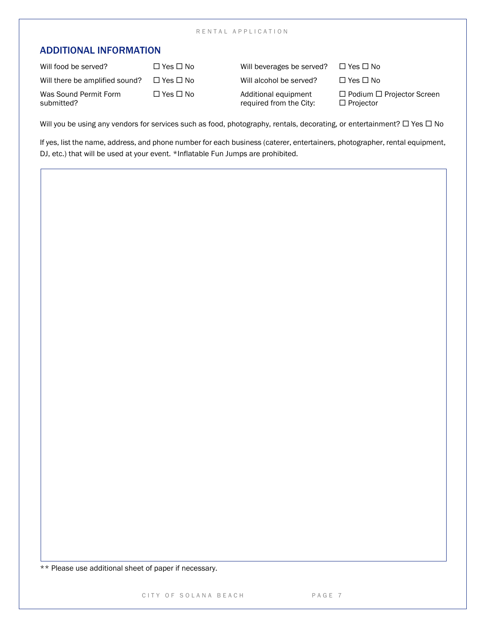#### R E N T A L A P P L I C A T I O N

#### ADDITIONAL INFORMATION

| Will food be served?                | $\Box$ Yes $\Box$ No       | Will beverages be served?                       | $\Box$ Yes $\Box$ No                                      |
|-------------------------------------|----------------------------|-------------------------------------------------|-----------------------------------------------------------|
| Will there be amplified sound?      | $\Box$ Yes $\Box$ No       | Will alcohol be served?                         | $\Box$ Yes $\Box$ No                                      |
| Was Sound Permit Form<br>submitted? | $\square$ Yes $\square$ No | Additional equipment<br>required from the City: | $\Box$ Podium $\Box$ Projector Screen<br>$\Box$ Projector |

Will you be using any vendors for services such as food, photography, rentals, decorating, or entertainment?  $\Box$  Yes  $\Box$  No

If yes, list the name, address, and phone number for each business (caterer, entertainers, photographer, rental equipment, DJ, etc.) that will be used at your event. \*Inflatable Fun Jumps are prohibited.

\*\* Please use additional sheet of paper if necessary.

CITY OF SOLANA BEACH PAGE 7